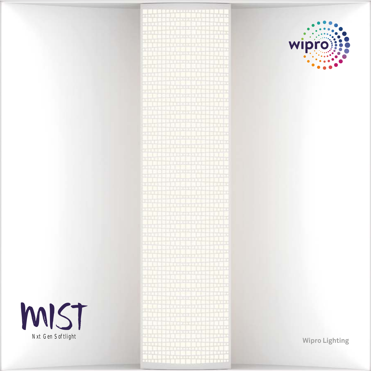

# 1,000,000,000,000,000



**Wipro Lighting**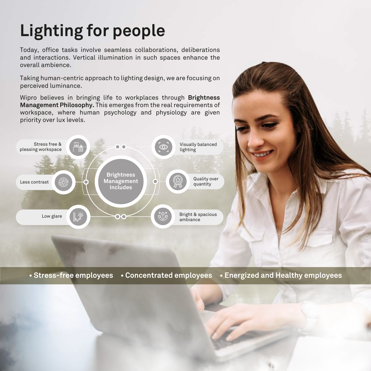# **Lighting for people**

Today, office tasks involve seamless collaborations, deliberations and interactions. Vertical illumination in such spaces enhance the overall ambience.

Taking human-centric approach to lighting design, we are focusing on perceived luminance.

Wipro believes in bringing life to workplaces through **Brightness Management Philosophy.** This emerges from the real requirements of workspace, where human psychology and physiology are given priority over lux levels.



**• Stress-free employees • Concentrated employees • Energized and Healthy employees**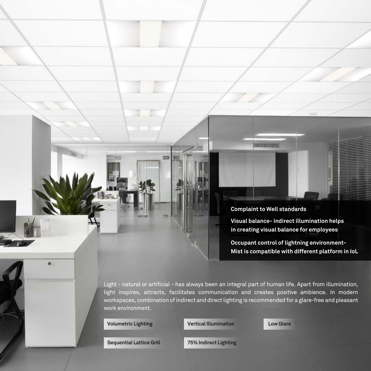**Complaint to Well standards**

**THE REAL PROPERTY** 

**Visual balance- indirect illumination helps in creating visual balance for employees** 

**Occupant control of lightning environment-Mist is compatible with different platform in IoL**

Light - natural or artificial - has always been an integral part of human life. Apart from illumination, light inspires, attracts, facilitates communication and creates positive ambience. In modern workspaces, combination of indirect and direct lighting is recommended for a glare-free and pleasant work environment.

**Volumetric Lighting Vertical Illumination Low Glare**

**Sequential Lattice Grill 75% Indirect Lighting**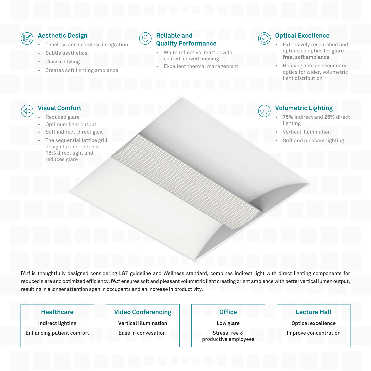

### **Aesthetic Design**

- Timeless and seamless integration
- Subtle aesthetics
- Classic styling
- Creates soft lighting ambiance



### **Reliable and Quality Performance**

- White reflective, matt powder coated, curved housing
- Excellent thermal management

### **Optical Excellence**

- Extensively researched and optimized optics for **glare free, soft ambiance**
- Housing acts as secondary optics for wider, volumetric light distribution

### **Visual Comfort** ∢∈

- Reduced glare
- Optimum light output
- Soft indirect-direct glow
- The sequential lattice grill design further reflects 16% direct light and reduces glare



### **Volumetric Lighting**

- **75%** indirect and **25%** direct lighting
- Vertical Illumination
- Soft and pleasant lighting

Mist is thoughtfully designed considering LG7 guideline and Wellness standard, combines indirect light with direct lighting components for reduced glare and optimized efficiency. Wist ensures soft and pleasant volumetric light creating bright ambience with better vertical lumen output, resulting in a longer attention span in occupants and an increase in productivity.

### **Healthcare**

**Indirect lighting** Enhancing patient comfort

### **Video Conferencing**

**Vertical illumination** Ease in convesation

### **Office**

**Low glare**

Stress free & productive employees

### **Lecture Hall**

**Optical excellence**

Improve concentration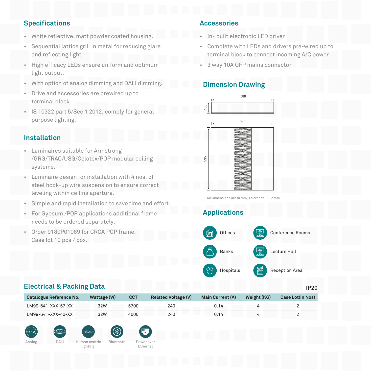# **Specifications**

- White reflective, matt powder coated housing.
- Sequential lattice grill in metal for reducing glare and reflecting light
- High efficacy LEDs ensure uniform and optimum light output.
- With option of analog dimming and DALI dimming.
- Drive and accessories are prewired up to terminal block.
- IS 10322 part 5/Sec 1 2012, comply for general purpose lighting.

# **Installation**

- Luminaires suitable for Armstrong /GRG/TRAC/USG/Celotex/POP modular ceiling systems.
- Luminaire design for installation with 4 nos. of steel hook-up wire suspension to ensure correct leveling within ceiling aperture.
- Simple and rapid installation to save time and effort.
- For Gypsum /POP applications additional frame needs to be ordered separately.
- Order 9180P01089 for CRCA POP frame. Case lot 10 pcs / box.

# **Accessories**

- In- built electronic LED driver
- Complete with LEDs and drivers pre-wired up to terminal block to connect incoming A/C power
- 3 way 10A GFP mains connector

## **Dimension Drawing**



All Dimensions are in mm, Tolerance +/- 2 mm

# **Applications**



### **Electrical & Packing Data**

| <b>Catalogue Reference No.</b> | Wattage (W) | <b>CCT</b> | <b>Related Voltage (V)</b> | <b>Main Current (A)</b> | Weight (KG) | Case Lot(In Nos) |
|--------------------------------|-------------|------------|----------------------------|-------------------------|-------------|------------------|
| LM99-641-XXX-57-XX             | 32W         | 5700       | 240                        | 0.14                    |             |                  |
| LM99-641-XXX-40-XX             | 32W         | 4000       | 240                        | 0.14                    |             |                  |







lighting



Ethernet

**IP20**